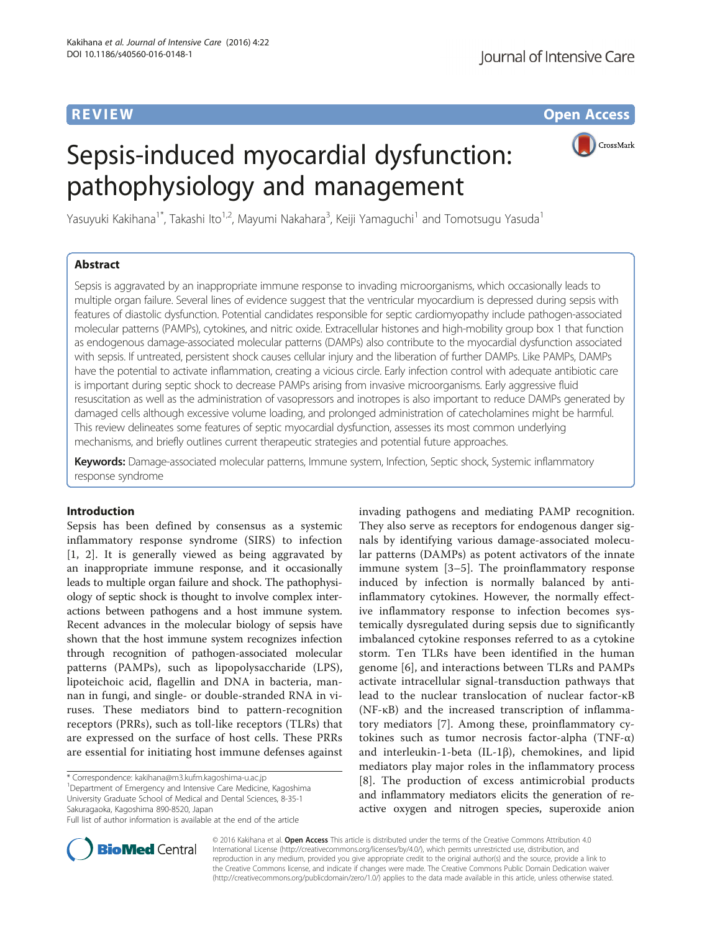**REVIEW CONSTRUCTION CONSTRUCTION CONSTRUCTS** 

# Sepsis-induced myocardial dysfunction: pathophysiology and management



Yasuyuki Kakihana $^1$ \*, Takashi Ito $^{1,2}$ , Mayumi Nakahara $^3$ , Keiji Yamaguchi $^1$  and Tomotsugu Yasuda $^1$ 

# Abstract

Sepsis is aggravated by an inappropriate immune response to invading microorganisms, which occasionally leads to multiple organ failure. Several lines of evidence suggest that the ventricular myocardium is depressed during sepsis with features of diastolic dysfunction. Potential candidates responsible for septic cardiomyopathy include pathogen-associated molecular patterns (PAMPs), cytokines, and nitric oxide. Extracellular histones and high-mobility group box 1 that function as endogenous damage-associated molecular patterns (DAMPs) also contribute to the myocardial dysfunction associated with sepsis. If untreated, persistent shock causes cellular injury and the liberation of further DAMPs. Like PAMPs, DAMPs have the potential to activate inflammation, creating a vicious circle. Early infection control with adequate antibiotic care is important during septic shock to decrease PAMPs arising from invasive microorganisms. Early aggressive fluid resuscitation as well as the administration of vasopressors and inotropes is also important to reduce DAMPs generated by damaged cells although excessive volume loading, and prolonged administration of catecholamines might be harmful. This review delineates some features of septic myocardial dysfunction, assesses its most common underlying mechanisms, and briefly outlines current therapeutic strategies and potential future approaches.

Keywords: Damage-associated molecular patterns, Immune system, Infection, Septic shock, Systemic inflammatory response syndrome

# Introduction

Sepsis has been defined by consensus as a systemic inflammatory response syndrome (SIRS) to infection [[1, 2\]](#page-7-0). It is generally viewed as being aggravated by an inappropriate immune response, and it occasionally leads to multiple organ failure and shock. The pathophysiology of septic shock is thought to involve complex interactions between pathogens and a host immune system. Recent advances in the molecular biology of sepsis have shown that the host immune system recognizes infection through recognition of pathogen-associated molecular patterns (PAMPs), such as lipopolysaccharide (LPS), lipoteichoic acid, flagellin and DNA in bacteria, mannan in fungi, and single- or double-stranded RNA in viruses. These mediators bind to pattern-recognition receptors (PRRs), such as toll-like receptors (TLRs) that are expressed on the surface of host cells. These PRRs are essential for initiating host immune defenses against

<sup>1</sup>Department of Emergency and Intensive Care Medicine, Kagoshima University Graduate School of Medical and Dental Sciences, 8-35-1 Sakuragaoka, Kagoshima 890-8520, Japan

invading pathogens and mediating PAMP recognition. They also serve as receptors for endogenous danger signals by identifying various damage-associated molecular patterns (DAMPs) as potent activators of the innate immune system [[3](#page-7-0)–[5](#page-7-0)]. The proinflammatory response induced by infection is normally balanced by antiinflammatory cytokines. However, the normally effective inflammatory response to infection becomes systemically dysregulated during sepsis due to significantly imbalanced cytokine responses referred to as a cytokine storm. Ten TLRs have been identified in the human genome [[6\]](#page-7-0), and interactions between TLRs and PAMPs activate intracellular signal-transduction pathways that lead to the nuclear translocation of nuclear factor-κB (NF-κB) and the increased transcription of inflammatory mediators [\[7](#page-7-0)]. Among these, proinflammatory cytokines such as tumor necrosis factor-alpha (TNF- $α$ ) and interleukin-1-beta (IL-1β), chemokines, and lipid mediators play major roles in the inflammatory process [[8\]](#page-7-0). The production of excess antimicrobial products and inflammatory mediators elicits the generation of reactive oxygen and nitrogen species, superoxide anion



© 2016 Kakihana et al. Open Access This article is distributed under the terms of the Creative Commons Attribution 4.0 International License [\(http://creativecommons.org/licenses/by/4.0/](http://creativecommons.org/licenses/by/4.0/)), which permits unrestricted use, distribution, and reproduction in any medium, provided you give appropriate credit to the original author(s) and the source, provide a link to the Creative Commons license, and indicate if changes were made. The Creative Commons Public Domain Dedication waiver [\(http://creativecommons.org/publicdomain/zero/1.0/](http://creativecommons.org/publicdomain/zero/1.0/)) applies to the data made available in this article, unless otherwise stated.

<sup>\*</sup> Correspondence: [kakihana@m3.kufm.kagoshima-u.ac.jp](mailto:kakihana@m3.kufm.kagoshima-u.ac.jp) <sup>1</sup>

Full list of author information is available at the end of the article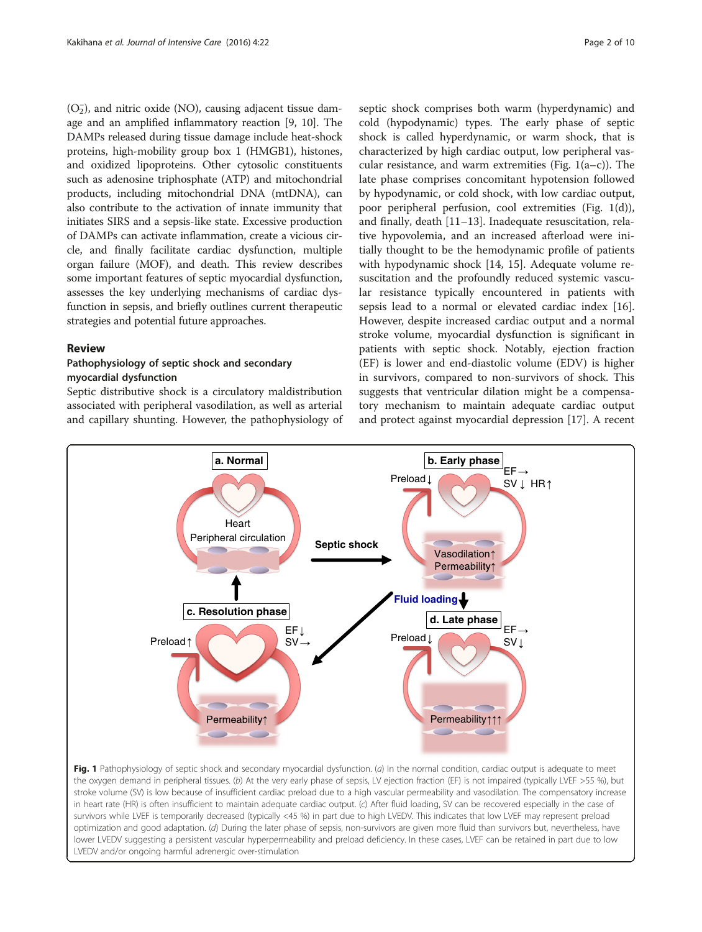<span id="page-1-0"></span> $(O<sub>2</sub>)$ , and nitric oxide (NO), causing adjacent tissue damage and an amplified inflammatory reaction [[9, 10](#page-7-0)]. The DAMPs released during tissue damage include heat-shock proteins, high-mobility group box 1 (HMGB1), histones, and oxidized lipoproteins. Other cytosolic constituents such as adenosine triphosphate (ATP) and mitochondrial products, including mitochondrial DNA (mtDNA), can also contribute to the activation of innate immunity that initiates SIRS and a sepsis-like state. Excessive production of DAMPs can activate inflammation, create a vicious circle, and finally facilitate cardiac dysfunction, multiple organ failure (MOF), and death. This review describes some important features of septic myocardial dysfunction, assesses the key underlying mechanisms of cardiac dysfunction in sepsis, and briefly outlines current therapeutic strategies and potential future approaches.

# Review

# Pathophysiology of septic shock and secondary myocardial dysfunction

LVEDV and/or ongoing harmful adrenergic over-stimulation

Septic distributive shock is a circulatory maldistribution associated with peripheral vasodilation, as well as arterial and capillary shunting. However, the pathophysiology of

septic shock comprises both warm (hyperdynamic) and cold (hypodynamic) types. The early phase of septic shock is called hyperdynamic, or warm shock, that is characterized by high cardiac output, low peripheral vascular resistance, and warm extremities (Fig.  $1(a-c)$ ). The late phase comprises concomitant hypotension followed by hypodynamic, or cold shock, with low cardiac output, poor peripheral perfusion, cool extremities (Fig. 1(d)), and finally, death [\[11](#page-7-0)–[13\]](#page-7-0). Inadequate resuscitation, relative hypovolemia, and an increased afterload were initially thought to be the hemodynamic profile of patients with hypodynamic shock [\[14](#page-7-0), [15\]](#page-7-0). Adequate volume resuscitation and the profoundly reduced systemic vascular resistance typically encountered in patients with sepsis lead to a normal or elevated cardiac index [\[16](#page-7-0)]. However, despite increased cardiac output and a normal stroke volume, myocardial dysfunction is significant in patients with septic shock. Notably, ejection fraction (EF) is lower and end-diastolic volume (EDV) is higher in survivors, compared to non-survivors of shock. This suggests that ventricular dilation might be a compensatory mechanism to maintain adequate cardiac output and protect against myocardial depression [[17](#page-7-0)]. A recent

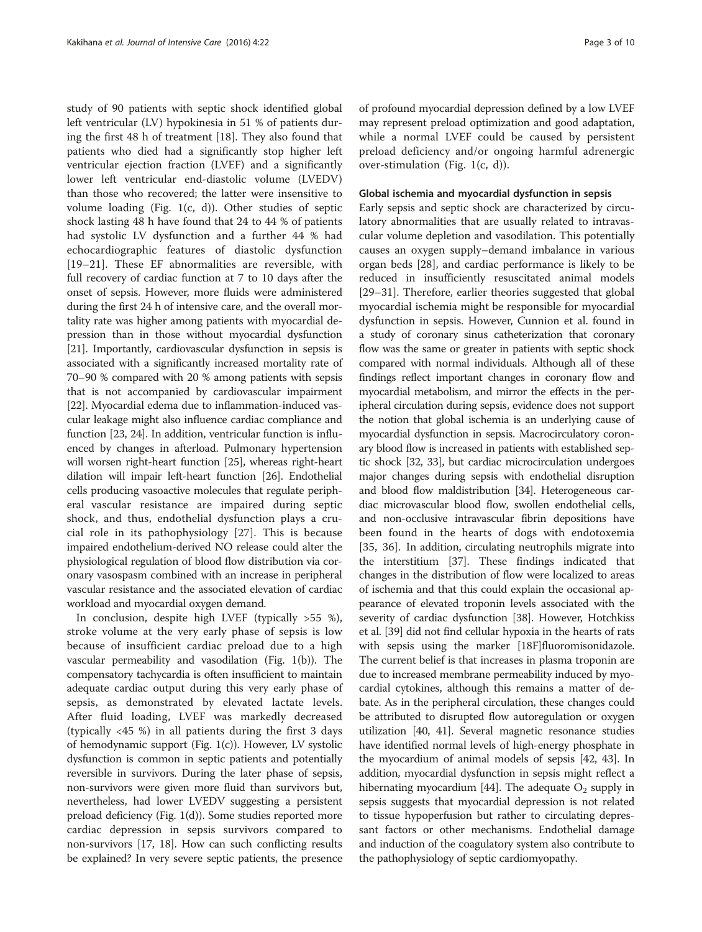study of 90 patients with septic shock identified global left ventricular (LV) hypokinesia in 51 % of patients during the first 48 h of treatment [\[18](#page-7-0)]. They also found that patients who died had a significantly stop higher left ventricular ejection fraction (LVEF) and a significantly lower left ventricular end-diastolic volume (LVEDV) than those who recovered; the latter were insensitive to volume loading (Fig. [1\(c](#page-1-0), [d](#page-1-0))). Other studies of septic shock lasting 48 h have found that 24 to 44 % of patients had systolic LV dysfunction and a further 44 % had echocardiographic features of diastolic dysfunction [[19](#page-7-0)–[21\]](#page-7-0). These EF abnormalities are reversible, with full recovery of cardiac function at 7 to 10 days after the onset of sepsis. However, more fluids were administered during the first 24 h of intensive care, and the overall mortality rate was higher among patients with myocardial depression than in those without myocardial dysfunction [[21](#page-7-0)]. Importantly, cardiovascular dysfunction in sepsis is associated with a significantly increased mortality rate of 70–90 % compared with 20 % among patients with sepsis that is not accompanied by cardiovascular impairment [[22](#page-7-0)]. Myocardial edema due to inflammation-induced vascular leakage might also influence cardiac compliance and function [\[23, 24](#page-7-0)]. In addition, ventricular function is influenced by changes in afterload. Pulmonary hypertension will worsen right-heart function [\[25](#page-7-0)], whereas right-heart dilation will impair left-heart function [\[26](#page-7-0)]. Endothelial cells producing vasoactive molecules that regulate peripheral vascular resistance are impaired during septic shock, and thus, endothelial dysfunction plays a crucial role in its pathophysiology [[27](#page-7-0)]. This is because impaired endothelium-derived NO release could alter the physiological regulation of blood flow distribution via coronary vasospasm combined with an increase in peripheral vascular resistance and the associated elevation of cardiac workload and myocardial oxygen demand.

In conclusion, despite high LVEF (typically >55 %), stroke volume at the very early phase of sepsis is low because of insufficient cardiac preload due to a high vascular permeability and vasodilation (Fig. [1\(b\)](#page-1-0)). The compensatory tachycardia is often insufficient to maintain adequate cardiac output during this very early phase of sepsis, as demonstrated by elevated lactate levels. After fluid loading, LVEF was markedly decreased (typically <45 %) in all patients during the first 3 days of hemodynamic support (Fig. [1\(c](#page-1-0))). However, LV systolic dysfunction is common in septic patients and potentially reversible in survivors. During the later phase of sepsis, non-survivors were given more fluid than survivors but, nevertheless, had lower LVEDV suggesting a persistent preload deficiency (Fig. [1\(d](#page-1-0))). Some studies reported more cardiac depression in sepsis survivors compared to non-survivors [\[17](#page-7-0), [18\]](#page-7-0). How can such conflicting results be explained? In very severe septic patients, the presence of profound myocardial depression defined by a low LVEF may represent preload optimization and good adaptation, while a normal LVEF could be caused by persistent preload deficiency and/or ongoing harmful adrenergic over-stimulation (Fig. [1](#page-1-0)([c](#page-1-0), [d\)](#page-1-0)).

#### Global ischemia and myocardial dysfunction in sepsis

Early sepsis and septic shock are characterized by circulatory abnormalities that are usually related to intravascular volume depletion and vasodilation. This potentially causes an oxygen supply–demand imbalance in various organ beds [[28\]](#page-7-0), and cardiac performance is likely to be reduced in insufficiently resuscitated animal models [[29](#page-7-0)–[31](#page-7-0)]. Therefore, earlier theories suggested that global myocardial ischemia might be responsible for myocardial dysfunction in sepsis. However, Cunnion et al. found in a study of coronary sinus catheterization that coronary flow was the same or greater in patients with septic shock compared with normal individuals. Although all of these findings reflect important changes in coronary flow and myocardial metabolism, and mirror the effects in the peripheral circulation during sepsis, evidence does not support the notion that global ischemia is an underlying cause of myocardial dysfunction in sepsis. Macrocirculatory coronary blood flow is increased in patients with established septic shock [\[32, 33](#page-7-0)], but cardiac microcirculation undergoes major changes during sepsis with endothelial disruption and blood flow maldistribution [\[34\]](#page-7-0). Heterogeneous cardiac microvascular blood flow, swollen endothelial cells, and non-occlusive intravascular fibrin depositions have been found in the hearts of dogs with endotoxemia [[35, 36\]](#page-7-0). In addition, circulating neutrophils migrate into the interstitium [\[37](#page-7-0)]. These findings indicated that changes in the distribution of flow were localized to areas of ischemia and that this could explain the occasional appearance of elevated troponin levels associated with the severity of cardiac dysfunction [\[38\]](#page-7-0). However, Hotchkiss et al. [\[39](#page-7-0)] did not find cellular hypoxia in the hearts of rats with sepsis using the marker [18F]fluoromisonidazole. The current belief is that increases in plasma troponin are due to increased membrane permeability induced by myocardial cytokines, although this remains a matter of debate. As in the peripheral circulation, these changes could be attributed to disrupted flow autoregulation or oxygen utilization [\[40, 41\]](#page-7-0). Several magnetic resonance studies have identified normal levels of high-energy phosphate in the myocardium of animal models of sepsis [\[42, 43\]](#page-7-0). In addition, myocardial dysfunction in sepsis might reflect a hibernating myocardium [[44](#page-7-0)]. The adequate  $O_2$  supply in sepsis suggests that myocardial depression is not related to tissue hypoperfusion but rather to circulating depressant factors or other mechanisms. Endothelial damage and induction of the coagulatory system also contribute to the pathophysiology of septic cardiomyopathy.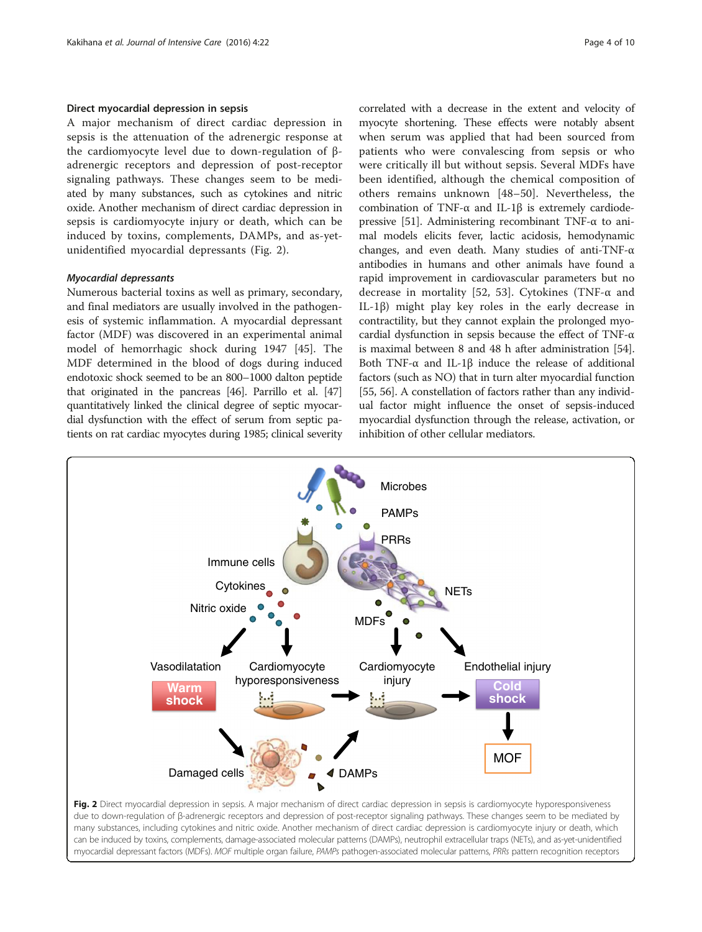# Direct myocardial depression in sepsis

A major mechanism of direct cardiac depression in sepsis is the attenuation of the adrenergic response at the cardiomyocyte level due to down-regulation of βadrenergic receptors and depression of post-receptor signaling pathways. These changes seem to be mediated by many substances, such as cytokines and nitric oxide. Another mechanism of direct cardiac depression in sepsis is cardiomyocyte injury or death, which can be induced by toxins, complements, DAMPs, and as-yetunidentified myocardial depressants (Fig. 2).

### Myocardial depressants

Numerous bacterial toxins as well as primary, secondary, and final mediators are usually involved in the pathogenesis of systemic inflammation. A myocardial depressant factor (MDF) was discovered in an experimental animal model of hemorrhagic shock during 1947 [[45\]](#page-7-0). The MDF determined in the blood of dogs during induced endotoxic shock seemed to be an 800–1000 dalton peptide that originated in the pancreas [\[46\]](#page-7-0). Parrillo et al. [\[47](#page-7-0)] quantitatively linked the clinical degree of septic myocardial dysfunction with the effect of serum from septic patients on rat cardiac myocytes during 1985; clinical severity correlated with a decrease in the extent and velocity of myocyte shortening. These effects were notably absent when serum was applied that had been sourced from patients who were convalescing from sepsis or who were critically ill but without sepsis. Several MDFs have been identified, although the chemical composition of others remains unknown [[48](#page-8-0)–[50\]](#page-8-0). Nevertheless, the combination of TNF-α and IL-1β is extremely cardiodepressive [[51](#page-8-0)]. Administering recombinant TNF-α to animal models elicits fever, lactic acidosis, hemodynamic changes, and even death. Many studies of anti-TNF-α antibodies in humans and other animals have found a rapid improvement in cardiovascular parameters but no decrease in mortality [[52, 53\]](#page-8-0). Cytokines (TNF-α and IL-1β) might play key roles in the early decrease in contractility, but they cannot explain the prolonged myocardial dysfunction in sepsis because the effect of TNF-α is maximal between 8 and 48 h after administration [[54](#page-8-0)]. Both TNF-α and IL-1β induce the release of additional factors (such as NO) that in turn alter myocardial function [[55](#page-8-0), [56\]](#page-8-0). A constellation of factors rather than any individual factor might influence the onset of sepsis-induced myocardial dysfunction through the release, activation, or inhibition of other cellular mediators.



Fig. 2 Direct myocardial depression in sepsis. A major mechanism of direct cardiac depression in sepsis is cardiomyocyte hyporesponsiveness due to down-regulation of β-adrenergic receptors and depression of post-receptor signaling pathways. These changes seem to be mediated by many substances, including cytokines and nitric oxide. Another mechanism of direct cardiac depression is cardiomyocyte injury or death, which can be induced by toxins, complements, damage-associated molecular patterns (DAMPs), neutrophil extracellular traps (NETs), and as-yet-unidentified myocardial depressant factors (MDFs). MOF multiple organ failure, PAMPs pathogen-associated molecular patterns, PRRs pattern recognition receptors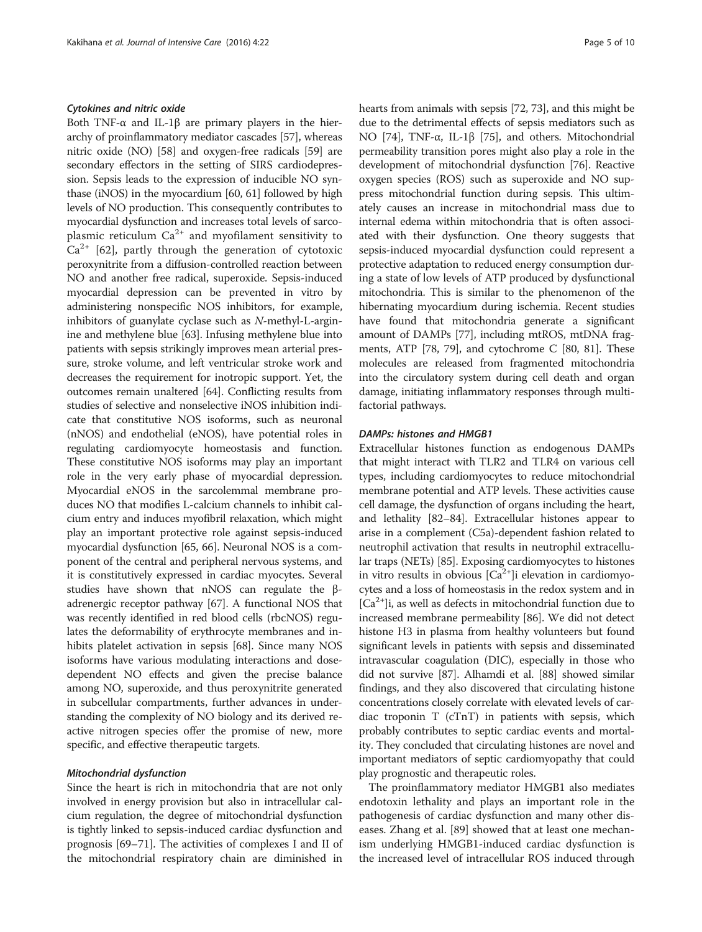# Cytokines and nitric oxide

Both TNF- $\alpha$  and IL-1β are primary players in the hierarchy of proinflammatory mediator cascades [[57](#page-8-0)], whereas nitric oxide (NO) [[58](#page-8-0)] and oxygen-free radicals [\[59\]](#page-8-0) are secondary effectors in the setting of SIRS cardiodepression. Sepsis leads to the expression of inducible NO synthase (iNOS) in the myocardium [\[60, 61](#page-8-0)] followed by high levels of NO production. This consequently contributes to myocardial dysfunction and increases total levels of sarcoplasmic reticulum  $Ca^{2+}$  and myofilament sensitivity to  $Ca^{2+}$  [\[62](#page-8-0)], partly through the generation of cytotoxic peroxynitrite from a diffusion-controlled reaction between NO and another free radical, superoxide. Sepsis-induced myocardial depression can be prevented in vitro by administering nonspecific NOS inhibitors, for example, inhibitors of guanylate cyclase such as N-methyl-L-arginine and methylene blue [[63\]](#page-8-0). Infusing methylene blue into patients with sepsis strikingly improves mean arterial pressure, stroke volume, and left ventricular stroke work and decreases the requirement for inotropic support. Yet, the outcomes remain unaltered [\[64\]](#page-8-0). Conflicting results from studies of selective and nonselective iNOS inhibition indicate that constitutive NOS isoforms, such as neuronal (nNOS) and endothelial (eNOS), have potential roles in regulating cardiomyocyte homeostasis and function. These constitutive NOS isoforms may play an important role in the very early phase of myocardial depression. Myocardial eNOS in the sarcolemmal membrane produces NO that modifies L-calcium channels to inhibit calcium entry and induces myofibril relaxation, which might play an important protective role against sepsis-induced myocardial dysfunction [[65](#page-8-0), [66](#page-8-0)]. Neuronal NOS is a component of the central and peripheral nervous systems, and it is constitutively expressed in cardiac myocytes. Several studies have shown that nNOS can regulate the βadrenergic receptor pathway [[67\]](#page-8-0). A functional NOS that was recently identified in red blood cells (rbcNOS) regulates the deformability of erythrocyte membranes and inhibits platelet activation in sepsis [\[68](#page-8-0)]. Since many NOS isoforms have various modulating interactions and dosedependent NO effects and given the precise balance among NO, superoxide, and thus peroxynitrite generated in subcellular compartments, further advances in understanding the complexity of NO biology and its derived reactive nitrogen species offer the promise of new, more specific, and effective therapeutic targets.

#### Mitochondrial dysfunction

Since the heart is rich in mitochondria that are not only involved in energy provision but also in intracellular calcium regulation, the degree of mitochondrial dysfunction is tightly linked to sepsis-induced cardiac dysfunction and prognosis [[69](#page-8-0)–[71\]](#page-8-0). The activities of complexes I and II of the mitochondrial respiratory chain are diminished in hearts from animals with sepsis [\[72](#page-8-0), [73](#page-8-0)], and this might be due to the detrimental effects of sepsis mediators such as NO [\[74](#page-8-0)], TNF-α, IL-1β [[75](#page-8-0)], and others. Mitochondrial permeability transition pores might also play a role in the development of mitochondrial dysfunction [[76](#page-8-0)]. Reactive oxygen species (ROS) such as superoxide and NO suppress mitochondrial function during sepsis. This ultimately causes an increase in mitochondrial mass due to internal edema within mitochondria that is often associated with their dysfunction. One theory suggests that sepsis-induced myocardial dysfunction could represent a protective adaptation to reduced energy consumption during a state of low levels of ATP produced by dysfunctional mitochondria. This is similar to the phenomenon of the hibernating myocardium during ischemia. Recent studies have found that mitochondria generate a significant amount of DAMPs [\[77\]](#page-8-0), including mtROS, mtDNA fragments, ATP [\[78, 79\]](#page-8-0), and cytochrome C [[80](#page-8-0), [81](#page-8-0)]. These molecules are released from fragmented mitochondria into the circulatory system during cell death and organ damage, initiating inflammatory responses through multifactorial pathways.

### DAMPs: histones and HMGB1

Extracellular histones function as endogenous DAMPs that might interact with TLR2 and TLR4 on various cell types, including cardiomyocytes to reduce mitochondrial membrane potential and ATP levels. These activities cause cell damage, the dysfunction of organs including the heart, and lethality [\[82](#page-8-0)–[84](#page-8-0)]. Extracellular histones appear to arise in a complement (C5a)-dependent fashion related to neutrophil activation that results in neutrophil extracellular traps (NETs) [\[85\]](#page-8-0). Exposing cardiomyocytes to histones in vitro results in obvious  $[Ca^{2+}]$ i elevation in cardiomyocytes and a loss of homeostasis in the redox system and in  $[Ca<sup>2+</sup>]$ i, as well as defects in mitochondrial function due to increased membrane permeability [\[86\]](#page-8-0). We did not detect histone H3 in plasma from healthy volunteers but found significant levels in patients with sepsis and disseminated intravascular coagulation (DIC), especially in those who did not survive [\[87\]](#page-8-0). Alhamdi et al. [\[88\]](#page-8-0) showed similar findings, and they also discovered that circulating histone concentrations closely correlate with elevated levels of cardiac troponin T (cTnT) in patients with sepsis, which probably contributes to septic cardiac events and mortality. They concluded that circulating histones are novel and important mediators of septic cardiomyopathy that could play prognostic and therapeutic roles.

The proinflammatory mediator HMGB1 also mediates endotoxin lethality and plays an important role in the pathogenesis of cardiac dysfunction and many other diseases. Zhang et al. [\[89\]](#page-8-0) showed that at least one mechanism underlying HMGB1-induced cardiac dysfunction is the increased level of intracellular ROS induced through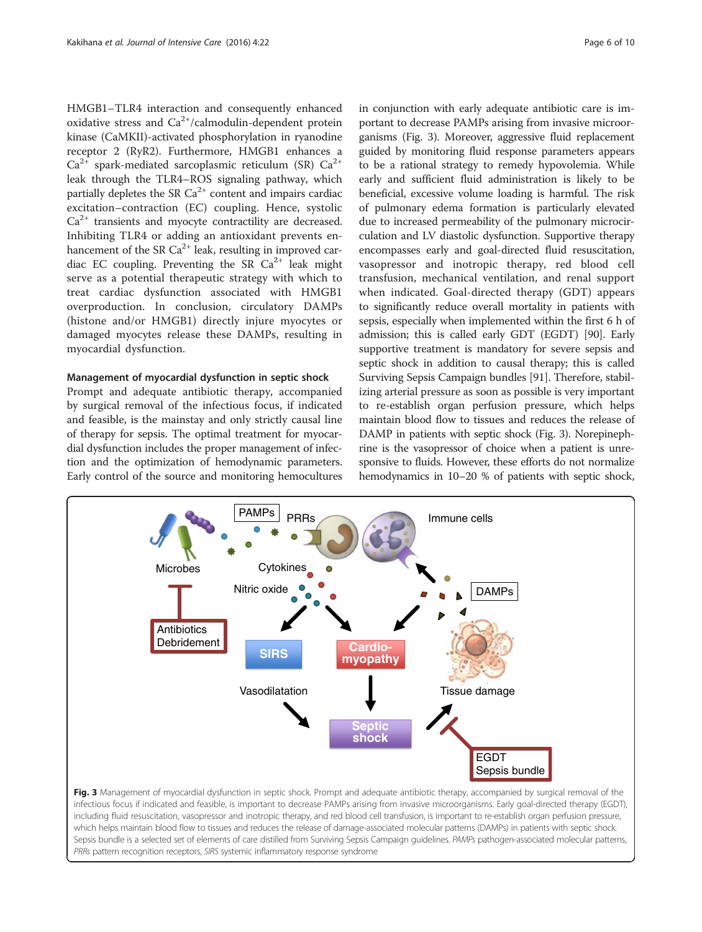HMGB1–TLR4 interaction and consequently enhanced oxidative stress and  $Ca^{2+}/cal$ calmodulin-dependent protein kinase (CaMKII)-activated phosphorylation in ryanodine receptor 2 (RyR2). Furthermore, HMGB1 enhances a  $Ca^{2+}$  spark-mediated sarcoplasmic reticulum (SR)  $Ca^{2+}$ leak through the TLR4–ROS signaling pathway, which partially depletes the SR  $Ca^{2+}$  content and impairs cardiac excitation–contraction (EC) coupling. Hence, systolic  $Ca<sup>2+</sup>$  transients and myocyte contractility are decreased. Inhibiting TLR4 or adding an antioxidant prevents enhancement of the SR  $Ca^{2+}$  leak, resulting in improved cardiac EC coupling. Preventing the SR  $Ca^{2+}$  leak might serve as a potential therapeutic strategy with which to treat cardiac dysfunction associated with HMGB1 overproduction. In conclusion, circulatory DAMPs (histone and/or HMGB1) directly injure myocytes or damaged myocytes release these DAMPs, resulting in myocardial dysfunction.

#### Management of myocardial dysfunction in septic shock

Prompt and adequate antibiotic therapy, accompanied by surgical removal of the infectious focus, if indicated and feasible, is the mainstay and only strictly causal line of therapy for sepsis. The optimal treatment for myocardial dysfunction includes the proper management of infection and the optimization of hemodynamic parameters. Early control of the source and monitoring hemocultures in conjunction with early adequate antibiotic care is important to decrease PAMPs arising from invasive microorganisms (Fig. 3). Moreover, aggressive fluid replacement guided by monitoring fluid response parameters appears to be a rational strategy to remedy hypovolemia. While early and sufficient fluid administration is likely to be beneficial, excessive volume loading is harmful. The risk of pulmonary edema formation is particularly elevated due to increased permeability of the pulmonary microcirculation and LV diastolic dysfunction. Supportive therapy encompasses early and goal-directed fluid resuscitation, vasopressor and inotropic therapy, red blood cell transfusion, mechanical ventilation, and renal support when indicated. Goal-directed therapy (GDT) appears to significantly reduce overall mortality in patients with sepsis, especially when implemented within the first 6 h of admission; this is called early GDT (EGDT) [[90](#page-8-0)]. Early supportive treatment is mandatory for severe sepsis and septic shock in addition to causal therapy; this is called Surviving Sepsis Campaign bundles [\[91](#page-8-0)]. Therefore, stabilizing arterial pressure as soon as possible is very important to re-establish organ perfusion pressure, which helps maintain blood flow to tissues and reduces the release of DAMP in patients with septic shock (Fig. 3). Norepinephrine is the vasopressor of choice when a patient is unresponsive to fluids. However, these efforts do not normalize hemodynamics in 10–20 % of patients with septic shock,



infectious focus if indicated and feasible, is important to decrease PAMPs arising from invasive microorganisms. Early goal-directed therapy (EGDT), including fluid resuscitation, vasopressor and inotropic therapy, and red blood cell transfusion, is important to re-establish organ perfusion pressure, which helps maintain blood flow to tissues and reduces the release of damage-associated molecular patterns (DAMPs) in patients with septic shock. Sepsis bundle is a selected set of elements of care distilled from Surviving Sepsis Campaign guidelines. PAMPs pathogen-associated molecular patterns, PRRs pattern recognition receptors, SIRS systemic inflammatory response syndrome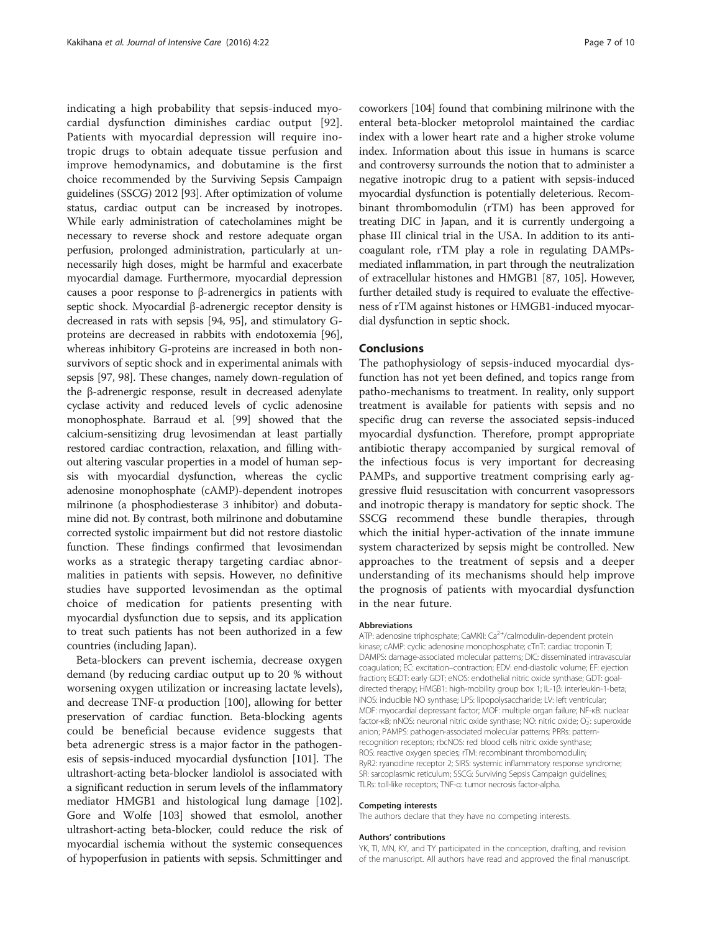indicating a high probability that sepsis-induced myocardial dysfunction diminishes cardiac output [\[92](#page-8-0)]. Patients with myocardial depression will require inotropic drugs to obtain adequate tissue perfusion and improve hemodynamics, and dobutamine is the first choice recommended by the Surviving Sepsis Campaign guidelines (SSCG) 2012 [\[93](#page-8-0)]. After optimization of volume status, cardiac output can be increased by inotropes. While early administration of catecholamines might be necessary to reverse shock and restore adequate organ perfusion, prolonged administration, particularly at unnecessarily high doses, might be harmful and exacerbate myocardial damage. Furthermore, myocardial depression causes a poor response to β-adrenergics in patients with septic shock. Myocardial β-adrenergic receptor density is decreased in rats with sepsis [\[94](#page-9-0), [95](#page-9-0)], and stimulatory Gproteins are decreased in rabbits with endotoxemia [[96](#page-9-0)], whereas inhibitory G-proteins are increased in both nonsurvivors of septic shock and in experimental animals with sepsis [[97](#page-9-0), [98\]](#page-9-0). These changes, namely down-regulation of the β-adrenergic response, result in decreased adenylate cyclase activity and reduced levels of cyclic adenosine monophosphate. Barraud et al. [\[99\]](#page-9-0) showed that the calcium-sensitizing drug levosimendan at least partially restored cardiac contraction, relaxation, and filling without altering vascular properties in a model of human sepsis with myocardial dysfunction, whereas the cyclic adenosine monophosphate (cAMP)-dependent inotropes milrinone (a phosphodiesterase 3 inhibitor) and dobutamine did not. By contrast, both milrinone and dobutamine corrected systolic impairment but did not restore diastolic function. These findings confirmed that levosimendan works as a strategic therapy targeting cardiac abnormalities in patients with sepsis. However, no definitive studies have supported levosimendan as the optimal choice of medication for patients presenting with myocardial dysfunction due to sepsis, and its application to treat such patients has not been authorized in a few countries (including Japan).

Beta-blockers can prevent ischemia, decrease oxygen demand (by reducing cardiac output up to 20 % without worsening oxygen utilization or increasing lactate levels), and decrease TNF- $\alpha$  production [\[100](#page-9-0)], allowing for better preservation of cardiac function. Beta-blocking agents could be beneficial because evidence suggests that beta adrenergic stress is a major factor in the pathogenesis of sepsis-induced myocardial dysfunction [\[101](#page-9-0)]. The ultrashort-acting beta-blocker landiolol is associated with a significant reduction in serum levels of the inflammatory mediator HMGB1 and histological lung damage [[102](#page-9-0)]. Gore and Wolfe [[103](#page-9-0)] showed that esmolol, another ultrashort-acting beta-blocker, could reduce the risk of myocardial ischemia without the systemic consequences of hypoperfusion in patients with sepsis. Schmittinger and

coworkers [[104](#page-9-0)] found that combining milrinone with the enteral beta-blocker metoprolol maintained the cardiac index with a lower heart rate and a higher stroke volume index. Information about this issue in humans is scarce and controversy surrounds the notion that to administer a negative inotropic drug to a patient with sepsis-induced myocardial dysfunction is potentially deleterious. Recombinant thrombomodulin (rTM) has been approved for treating DIC in Japan, and it is currently undergoing a phase III clinical trial in the USA. In addition to its anticoagulant role, rTM play a role in regulating DAMPsmediated inflammation, in part through the neutralization of extracellular histones and HMGB1 [\[87,](#page-8-0) [105\]](#page-9-0). However, further detailed study is required to evaluate the effectiveness of rTM against histones or HMGB1-induced myocardial dysfunction in septic shock.

# Conclusions

The pathophysiology of sepsis-induced myocardial dysfunction has not yet been defined, and topics range from patho-mechanisms to treatment. In reality, only support treatment is available for patients with sepsis and no specific drug can reverse the associated sepsis-induced myocardial dysfunction. Therefore, prompt appropriate antibiotic therapy accompanied by surgical removal of the infectious focus is very important for decreasing PAMPs, and supportive treatment comprising early aggressive fluid resuscitation with concurrent vasopressors and inotropic therapy is mandatory for septic shock. The SSCG recommend these bundle therapies, through which the initial hyper-activation of the innate immune system characterized by sepsis might be controlled. New approaches to the treatment of sepsis and a deeper understanding of its mechanisms should help improve the prognosis of patients with myocardial dysfunction in the near future.

#### Abbreviations

ATP: adenosine triphosphate; CaMKII: Ca<sup>2+</sup>/calmodulin-dependent protein kinase; cAMP: cyclic adenosine monophosphate; cTnT: cardiac troponin T; DAMPS: damage-associated molecular patterns; DIC: disseminated intravascular coagulation; EC: excitation–contraction; EDV: end-diastolic volume; EF: ejection fraction; EGDT: early GDT; eNOS: endothelial nitric oxide synthase; GDT: goaldirected therapy; HMGB1: high-mobility group box 1; IL-1β: interleukin-1-beta; iNOS: inducible NO synthase; LPS: lipopolysaccharide; LV: left ventricular; MDF: myocardial depressant factor; MOF: multiple organ failure; NF-κB: nuclear factor-kB; nNOS: neuronal nitric oxide synthase; NO: nitric oxide; O<sub>2</sub>: superoxide anion; PAMPS: pathogen-associated molecular patterns; PRRs: patternrecognition receptors; rbcNOS: red blood cells nitric oxide synthase; ROS: reactive oxygen species; rTM: recombinant thrombomodulin; RyR2: ryanodine receptor 2; SIRS: systemic inflammatory response syndrome; SR: sarcoplasmic reticulum; SSCG: Surviving Sepsis Campaign guidelines; TLRs: toll-like receptors; TNF-α: tumor necrosis factor-alpha.

#### Competing interests

The authors declare that they have no competing interests.

#### Authors' contributions

YK, TI, MN, KY, and TY participated in the conception, drafting, and revision of the manuscript. All authors have read and approved the final manuscript.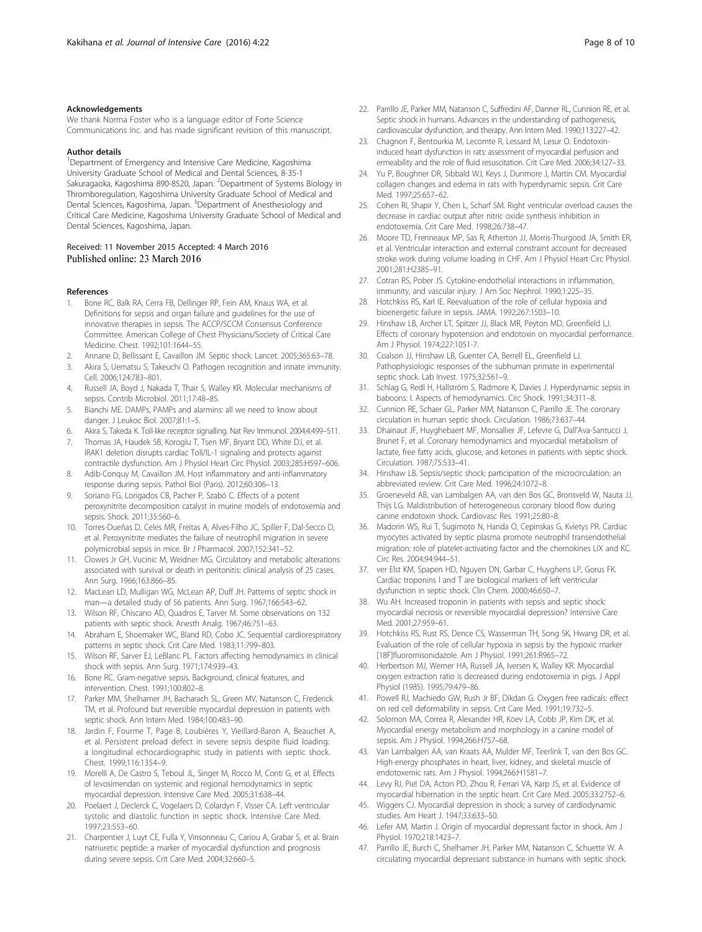#### <span id="page-7-0"></span>Acknowledgements

We thank Norma Foster who is a language editor of Forte Science Communications Inc. and has made significant revision of this manuscript.

#### Author details

<sup>1</sup>Department of Emergency and Intensive Care Medicine, Kagoshima University Graduate School of Medical and Dental Sciences, 8-35-1 Sakuragaoka, Kagoshima 890-8520, Japan. <sup>2</sup>Department of Systems Biology in Thromboregulation, Kagoshima University Graduate School of Medical and Dental Sciences, Kagoshima, Japan. <sup>3</sup>Department of Anesthesiology and Critical Care Medicine, Kagoshima University Graduate School of Medical and Dental Sciences, Kagoshima, Japan.

#### Received: 11 November 2015 Accepted: 4 March 2016 Published online: 23 March 2016

#### References

- Bone RC, Balk RA, Cerra FB, Dellinger RP, Fein AM, Knaus WA, et al. Definitions for sepsis and organ failure and guidelines for the use of innovative therapies in sepsis. The ACCP/SCCM Consensus Conference Committee. American College of Chest Physicians/Society of Critical Care Medicine. Chest. 1992;101:1644–55.
- 2. Annane D, Bellissant E, Cavaillon JM. Septic shock. Lancet. 2005;365:63–78.
- 3. Akira S, Uematsu S, Takeuchi O. Pathogen recognition and innate immunity. Cell. 2006;124:783–801.
- 4. Russell JA, Boyd J, Nakada T, Thair S, Walley KR. Molecular mechanisms of sepsis. Contrib Microbiol. 2011;17:48–85.
- 5. Bianchi ME. DAMPs, PAMPs and alarmins: all we need to know about danger. J Leukoc Biol. 2007;81:1–5.
- 6. Akira S, Takeda K. Toll-like receptor signalling. Nat Rev Immunol. 2004;4:499–511.
- 7. Thomas JA, Haudek SB, Koroglu T, Tsen MF, Bryant DD, White DJ, et al. IRAK1 deletion disrupts cardiac Toll/IL-1 signaling and protects against contractile dysfunction. Am J Physiol Heart Circ Physiol. 2003;285:H597–606.
- 8. Adib-Conquy M, Cavaillon JM. Host inflammatory and anti-inflammatory response during sepsis. Pathol Biol (Paris). 2012;60:306–13.
- 9. Soriano FG, Lorigados CB, Pacher P, Szabó C. Effects of a potent peroxynitrite decomposition catalyst in murine models of endotoxemia and sepsis. Shock. 2011;35:560–6.
- 10. Torres-Dueñas D, Celes MR, Freitas A, Alves-Filho JC, Spiller F, Dal-Secco D, et al. Peroxynitrite mediates the failure of neutrophil migration in severe polymicrobial sepsis in mice. Br J Pharmacol. 2007;152:341–52.
- 11. Clowes Jr GH, Vucinic M, Weidner MG. Circulatory and metabolic alterations associated with survival or death in peritonitis: clinical analysis of 25 cases. Ann Surg. 1966;163:866–85.
- 12. MacLean LD, Mulligan WG, McLean AP, Duff JH. Patterns of septic shock in man—a detailed study of 56 patients. Ann Surg. 1967;166:543–62.
- 13. Wilson RF, Chiscano AD, Quadros E, Tarver M. Some observations on 132 patients with septic shock. Anesth Analg. 1967;46:751–63.
- 14. Abraham E, Shoemaker WC, Bland RD, Cobo JC. Sequential cardiorespiratory patterns in septic shock. Crit Care Med. 1983;11:799–803.
- 15. Wilson RF, Sarver EJ, LeBlanc PL. Factors affecting hemodynamics in clinical shock with sepsis. Ann Surg. 1971;174:939–43.
- 16. Bone RC. Gram-negative sepsis. Background, clinical features, and intervention. Chest. 1991;100:802–8.
- 17. Parker MM, Shelhamer JH, Bacharach SL, Green MV, Natanson C, Frederick TM, et al. Profound but reversible myocardial depression in patients with septic shock. Ann Intern Med. 1984;100:483–90.
- 18. Jardin F, Fourme T, Page B, Loubières Y, Vieillard-Baron A, Beauchet A, et al. Persistent preload defect in severe sepsis despite fluid loading: a longitudinal echocardiographic study in patients with septic shock. Chest. 1999;116:1354–9.
- 19. Morelli A, De Castro S, Teboul JL, Singer M, Rocco M, Conti G, et al. Effects of levosimendan on systemic and regional hemodynamics in septic myocardial depression. Intensive Care Med. 2005;31:638–44.
- 20. Poelaert J, Declerck C, Vogelaers D, Colardyn F, Visser CA. Left ventricular systolic and diastolic function in septic shock. Intensive Care Med. 1997;23:553–60.
- 21. Charpentier J, Luyt CE, Fulla Y, Vinsonneau C, Cariou A, Grabar S, et al. Brain natriuretic peptide: a marker of myocardial dysfunction and prognosis during severe sepsis. Crit Care Med. 2004;32:660–5.
- 22. Parrillo JE, Parker MM, Natanson C, Suffredini AF, Danner RL, Cunnion RE, et al. Septic shock in humans. Advances in the understanding of pathogenesis, cardiovascular dysfunction, and therapy. Ann Intern Med. 1990;113:227–42.
- 23. Chagnon F, Bentourkia M, Lecomte R, Lessard M, Lesur O. Endotoxininduced heart dysfunction in rats: assessment of myocardial perfusion and ermeability and the role of fluid resuscitation. Crit Care Med. 2006;34:127–33.
- 24. Yu P, Boughner DR, Sibbald WJ, Keys J, Dunmore J, Martin CM. Myocardial collagen changes and edema in rats with hyperdynamic sepsis. Crit Care Med. 1997;25:657–62.
- 25. Cohen RI, Shapir Y, Chen L, Scharf SM. Right ventricular overload causes the decrease in cardiac output after nitric oxide synthesis inhibition in endotoxemia. Crit Care Med. 1998;26:738–47.
- 26. Moore TD, Frenneaux MP, Sas R, Atherton JJ, Morris-Thurgood JA, Smith ER, et al. Ventricular interaction and external constraint account for decreased stroke work during volume loading in CHF. Am J Physiol Heart Circ Physiol. 2001;281:H2385–91.
- 27. Cotran RS, Pober JS. Cytokine-endothelial interactions in inflammation, immunity, and vascular injury. J Am Soc Nephrol. 1990;1:225–35.
- 28. Hotchkiss RS, Karl IE. Reevaluation of the role of cellular hypoxia and bioenergetic failure in sepsis. JAMA. 1992;267:1503–10.
- 29. Hinshaw LB, Archer LT, Spitzer JJ, Black MR, Peyton MD, Greenfield LJ. Effects of coronary hypotension and endotoxin on myocardial performance. Am J Physiol. 1974;227:1051-7.
- 30. Coalson JJ, Hinshaw LB, Guenter CA, Berrell EL, Greenfield LJ. Pathophysiologic responses of the subhuman primate in experimental septic shock. Lab Invest. 1975;32:561–9.
- 31. Schlag G, Redl H, Hallström S, Radmore K, Davies J. Hyperdynamic sepsis in baboons: I. Aspects of hemodynamics. Circ Shock. 1991;34:311–8.
- 32. Cunnion RE, Schaer GL, Parker MM, Natanson C, Parrillo JE. The coronary circulation in human septic shock. Circulation. 1986;73:637–44.
- 33. Dhainaut JF, Huyghebaert MF, Monsallier JF, Lefevre G, Dall'Ava-Santucci J, Brunet F, et al. Coronary hemodynamics and myocardial metabolism of lactate, free fatty acids, glucose, and ketones in patients with septic shock. Circulation. 1987;75:533–41.
- 34. Hinshaw LB. Sepsis/septic shock: participation of the microcirculation: an abbreviated review. Crit Care Med. 1996;24:1072–8.
- 35. Groeneveld AB, van Lambalgen AA, van den Bos GC, Bronsveld W, Nauta JJ, Thijs LG. Maldistribution of heterogeneous coronary blood flow during canine endotoxin shock. Cardiovasc Res. 1991;25:80–8.
- 36. Madorin WS, Rui T, Sugimoto N, Handa O, Cepinskas G, Kvietys PR. Cardiac myocytes activated by septic plasma promote neutrophil transendothelial migration: role of platelet-activating factor and the chemokines LIX and KC. Circ Res. 2004;94:944–51.
- 37. ver Elst KM, Spapen HD, Nguyen DN, Garbar C, Huyghens LP, Gorus FK. Cardiac troponins I and T are biological markers of left ventricular dysfunction in septic shock. Clin Chem. 2000;46:650–7.
- Wu AH. Increased troponin in patients with sepsis and septic shock: myocardial necrosis or reversible myocardial depression? Intensive Care Med. 2001;27:959–61.
- 39. Hotchkiss RS, Rust RS, Dence CS, Wasserman TH, Song SK, Hwang DR, et al. Evaluation of the role of cellular hypoxia in sepsis by the hypoxic marker [18F]fluoromisonidazole. Am J Physiol. 1991;261:R965–72.
- 40. Herbertson MJ, Werner HA, Russell JA, Iversen K, Walley KR. Myocardial oxygen extraction ratio is decreased during endotoxemia in pigs. J Appl Physiol (1985). 1995;79:479–86.
- 41. Powell RJ, Machiedo GW, Rush Jr BF, Dikdan G. Oxygen free radicals: effect on red cell deformability in sepsis. Crit Care Med. 1991;19:732–5.
- 42. Solomon MA, Correa R, Alexander HR, Koev LA, Cobb JP, Kim DK, et al. Myocardial energy metabolism and morphology in a canine model of sepsis. Am J Physiol. 1994;266:H757–68.
- 43. Van Lambalgen AA, van Kraats AA, Mulder MF, Teerlink T, van den Bos GC. High-energy phosphates in heart, liver, kidney, and skeletal muscle of endotoxemic rats. Am J Physiol. 1994;266:H1581–7.
- 44. Levy RJ, Piel DA, Acton PD, Zhou R, Ferrari VA, Karp JS, et al. Evidence of myocardial hibernation in the septic heart. Crit Care Med. 2005;33:2752–6.
- 45. Wiggers CJ. Myocardial depression in shock; a survey of cardiodynamic studies. Am Heart J. 1947;33:633–50.
- 46. Lefer AM, Martin J. Origin of myocardial depressant factor in shock. Am J Physiol. 1970;218:1423–7.
- 47. Parrillo JE, Burch C, Shelhamer JH, Parker MM, Natanson C, Schuette W. A circulating myocardial depressant substance in humans with septic shock.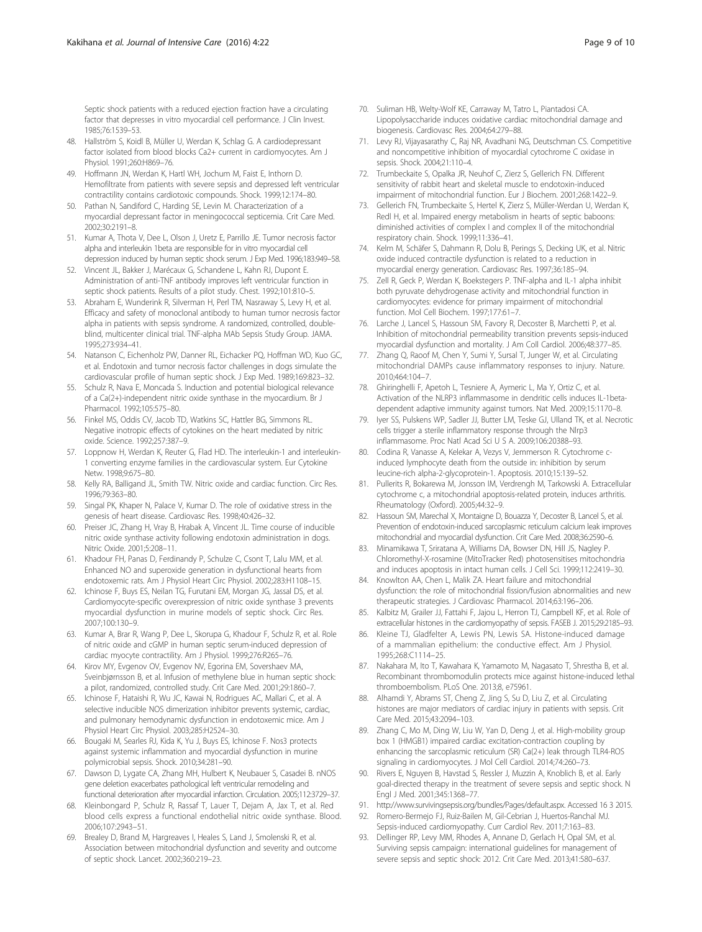<span id="page-8-0"></span>Septic shock patients with a reduced ejection fraction have a circulating factor that depresses in vitro myocardial cell performance. J Clin Invest. 1985;76:1539–53.

- 48. Hallström S, Koidl B, Müller U, Werdan K, Schlag G. A cardiodepressant factor isolated from blood blocks Ca2+ current in cardiomyocytes. Am J Physiol. 1991;260:H869–76.
- 49. Hoffmann JN, Werdan K, Hartl WH, Jochum M, Faist E, Inthorn D. Hemofiltrate from patients with severe sepsis and depressed left ventricular contractility contains cardiotoxic compounds. Shock. 1999;12:174–80.
- 50. Pathan N, Sandiford C, Harding SE, Levin M. Characterization of a myocardial depressant factor in meningococcal septicemia. Crit Care Med. 2002;30:2191–8.
- 51. Kumar A, Thota V, Dee L, Olson J, Uretz E, Parrillo JE. Tumor necrosis factor alpha and interleukin 1beta are responsible for in vitro myocardial cell depression induced by human septic shock serum. J Exp Med. 1996;183:949–58.
- 52. Vincent JL, Bakker J, Marécaux G, Schandene L, Kahn RJ, Dupont E. Administration of anti-TNF antibody improves left ventricular function in septic shock patients. Results of a pilot study. Chest. 1992;101:810-5.
- 53. Abraham E, Wunderink R, Silverman H, Perl TM, Nasraway S, Levy H, et al. Efficacy and safety of monoclonal antibody to human tumor necrosis factor alpha in patients with sepsis syndrome. A randomized, controlled, doubleblind, multicenter clinical trial. TNF-alpha MAb Sepsis Study Group. JAMA. 1995;273:934–41.
- 54. Natanson C, Eichenholz PW, Danner RL, Eichacker PQ, Hoffman WD, Kuo GC, et al. Endotoxin and tumor necrosis factor challenges in dogs simulate the cardiovascular profile of human septic shock. J Exp Med. 1989;169:823–32.
- 55. Schulz R, Nava E, Moncada S. Induction and potential biological relevance of a Ca(2+)-independent nitric oxide synthase in the myocardium. Br J Pharmacol. 1992;105:575–80.
- 56. Finkel MS, Oddis CV, Jacob TD, Watkins SC, Hattler BG, Simmons RL. Negative inotropic effects of cytokines on the heart mediated by nitric oxide. Science. 1992;257:387–9.
- 57. Loppnow H, Werdan K, Reuter G, Flad HD. The interleukin-1 and interleukin-1 converting enzyme families in the cardiovascular system. Eur Cytokine Netw. 1998;9:675–80.
- 58. Kelly RA, Balligand JL, Smith TW. Nitric oxide and cardiac function. Circ Res. 1996;79:363–80.
- 59. Singal PK, Khaper N, Palace V, Kumar D. The role of oxidative stress in the genesis of heart disease. Cardiovasc Res. 1998;40:426–32.
- 60. Preiser JC, Zhang H, Vray B, Hrabak A, Vincent JL. Time course of inducible nitric oxide synthase activity following endotoxin administration in dogs. Nitric Oxide. 2001;5:208–11.
- 61. Khadour FH, Panas D, Ferdinandy P, Schulze C, Csont T, Lalu MM, et al. Enhanced NO and superoxide generation in dysfunctional hearts from endotoxemic rats. Am J Physiol Heart Circ Physiol. 2002;283:H1108–15.
- 62. Ichinose F, Buys ES, Neilan TG, Furutani EM, Morgan JG, Jassal DS, et al. Cardiomyocyte-specific overexpression of nitric oxide synthase 3 prevents myocardial dysfunction in murine models of septic shock. Circ Res. 2007;100:130–9.
- 63. Kumar A, Brar R, Wang P, Dee L, Skorupa G, Khadour F, Schulz R, et al. Role of nitric oxide and cGMP in human septic serum-induced depression of cardiac myocyte contractility. Am J Physiol. 1999;276:R265–76.
- 64. Kirov MY, Evgenov OV, Evgenov NV, Egorina EM, Sovershaev MA, Sveinbjørnsson B, et al. Infusion of methylene blue in human septic shock: a pilot, randomized, controlled study. Crit Care Med. 2001;29:1860–7.
- 65. Ichinose F, Hataishi R, Wu JC, Kawai N, Rodrigues AC, Mallari C, et al. A selective inducible NOS dimerization inhibitor prevents systemic, cardiac, and pulmonary hemodynamic dysfunction in endotoxemic mice. Am J Physiol Heart Circ Physiol. 2003;285:H2524–30.
- 66. Bougaki M, Searles RJ, Kida K, Yu J, Buys ES, Ichinose F. Nos3 protects against systemic inflammation and myocardial dysfunction in murine polymicrobial sepsis. Shock. 2010;34:281–90.
- 67. Dawson D, Lygate CA, Zhang MH, Hulbert K, Neubauer S, Casadei B. nNOS gene deletion exacerbates pathological left ventricular remodeling and functional deterioration after myocardial infarction. Circulation. 2005;112:3729–37.
- 68. Kleinbongard P, Schulz R, Rassaf T, Lauer T, Dejam A, Jax T, et al. Red blood cells express a functional endothelial nitric oxide synthase. Blood. 2006;107:2943–51.
- 69. Brealey D, Brand M, Hargreaves I, Heales S, Land J, Smolenski R, et al. Association between mitochondrial dysfunction and severity and outcome of septic shock. Lancet. 2002;360:219–23.
- 70. Suliman HB, Welty-Wolf KE, Carraway M, Tatro L, Piantadosi CA. Lipopolysaccharide induces oxidative cardiac mitochondrial damage and biogenesis. Cardiovasc Res. 2004;64:279–88.
- 71. Levy RJ, Vijayasarathy C, Raj NR, Avadhani NG, Deutschman CS. Competitive and noncompetitive inhibition of myocardial cytochrome C oxidase in sepsis. Shock. 2004;21:110–4.
- 72. Trumbeckaite S, Opalka JR, Neuhof C, Zierz S, Gellerich FN. Different sensitivity of rabbit heart and skeletal muscle to endotoxin-induced impairment of mitochondrial function. Eur J Biochem. 2001;268:1422–9.
- 73. Gellerich FN, Trumbeckaite S, Hertel K, Zierz S, Müller-Werdan U, Werdan K, Redl H, et al. Impaired energy metabolism in hearts of septic baboons: diminished activities of complex I and complex II of the mitochondrial respiratory chain. Shock. 1999;11:336–41.
- 74. Kelm M, Schäfer S, Dahmann R, Dolu B, Perings S, Decking UK, et al. Nitric oxide induced contractile dysfunction is related to a reduction in myocardial energy generation. Cardiovasc Res. 1997;36:185–94.
- 75. Zell R, Geck P, Werdan K, Boekstegers P. TNF-alpha and IL-1 alpha inhibit both pyruvate dehydrogenase activity and mitochondrial function in cardiomyocytes: evidence for primary impairment of mitochondrial function. Mol Cell Biochem. 1997;177:61–7.
- 76. Larche J, Lancel S, Hassoun SM, Favory R, Decoster B, Marchetti P, et al. Inhibition of mitochondrial permeability transition prevents sepsis-induced myocardial dysfunction and mortality. J Am Coll Cardiol. 2006;48:377–85.
- 77. Zhang Q, Raoof M, Chen Y, Sumi Y, Sursal T, Junger W, et al. Circulating mitochondrial DAMPs cause inflammatory responses to injury. Nature. 2010;464:104–7.
- 78. Ghiringhelli F, Apetoh L, Tesniere A, Aymeric L, Ma Y, Ortiz C, et al. Activation of the NLRP3 inflammasome in dendritic cells induces IL-1betadependent adaptive immunity against tumors. Nat Med. 2009;15:1170–8.
- 79. Iyer SS, Pulskens WP, Sadler JJ, Butter LM, Teske GJ, Ulland TK, et al. Necrotic cells trigger a sterile inflammatory response through the Nlrp3 inflammasome. Proc Natl Acad Sci U S A. 2009;106:20388–93.
- 80. Codina R, Vanasse A, Kelekar A, Vezys V, Jemmerson R. Cytochrome cinduced lymphocyte death from the outside in: inhibition by serum leucine-rich alpha-2-glycoprotein-1. Apoptosis. 2010;15:139–52.
- 81. Pullerits R, Bokarewa M, Jonsson IM, Verdrengh M, Tarkowski A. Extracellular cytochrome c, a mitochondrial apoptosis-related protein, induces arthritis. Rheumatology (Oxford). 2005;44:32–9.
- 82. Hassoun SM, Marechal X, Montaigne D, Bouazza Y, Decoster B, Lancel S, et al. Prevention of endotoxin-induced sarcoplasmic reticulum calcium leak improves mitochondrial and myocardial dysfunction. Crit Care Med. 2008;36:2590–6.
- 83. Minamikawa T, Sriratana A, Williams DA, Bowser DN, Hill JS, Nagley P. Chloromethyl-X-rosamine (MitoTracker Red) photosensitises mitochondria and induces apoptosis in intact human cells. J Cell Sci. 1999;112:2419–30.
- 84. Knowlton AA, Chen L, Malik ZA. Heart failure and mitochondrial dysfunction: the role of mitochondrial fission/fusion abnormalities and new therapeutic strategies. J Cardiovasc Pharmacol. 2014;63:196–206.
- 85. Kalbitz M, Grailer JJ, Fattahi F, Jajou L, Herron TJ, Campbell KF, et al. Role of extracellular histones in the cardiomyopathy of sepsis. FASEB J. 2015;29:2185–93.
- 86. Kleine TJ, Gladfelter A, Lewis PN, Lewis SA. Histone-induced damage of a mammalian epithelium: the conductive effect. Am J Physiol. 1995;268:C1114–25.
- 87. Nakahara M, Ito T, Kawahara K, Yamamoto M, Nagasato T, Shrestha B, et al. Recombinant thrombomodulin protects mice against histone-induced lethal thromboembolism. PLoS One. 2013;8, e75961.
- 88. Alhamdi Y, Abrams ST, Cheng Z, Jing S, Su D, Liu Z, et al. Circulating histones are major mediators of cardiac injury in patients with sepsis. Crit Care Med. 2015;43:2094–103.
- 89. Zhang C, Mo M, Ding W, Liu W, Yan D, Deng J, et al. High-mobility group box 1 (HMGB1) impaired cardiac excitation-contraction coupling by enhancing the sarcoplasmic reticulum (SR) Ca(2+) leak through TLR4-ROS signaling in cardiomyocytes. J Mol Cell Cardiol. 2014;74:260–73.
- 90. Rivers E, Nguyen B, Havstad S, Ressler J, Muzzin A, Knoblich B, et al. Early goal-directed therapy in the treatment of severe sepsis and septic shock. N Engl J Med. 2001;345:1368–77.
- 91. [http://www.survivingsepsis.org/bundles/Pages/default.aspx.](http://www.survivingsepsis.org/bundles/Pages/default.aspx) Accessed 16 3 2015.
- 92. Romero-Bermejo FJ, Ruiz-Bailen M, Gil-Cebrian J, Huertos-Ranchal MJ. Sepsis-induced cardiomyopathy. Curr Cardiol Rev. 2011;7:163–83.
- 93. Dellinger RP, Levy MM, Rhodes A, Annane D, Gerlach H, Opal SM, et al. Surviving sepsis campaign: international guidelines for management of severe sepsis and septic shock: 2012. Crit Care Med. 2013;41:580–637.